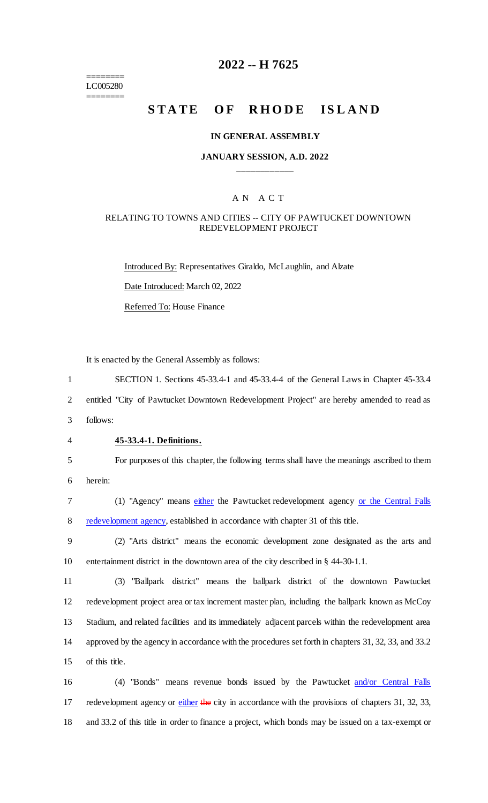======== LC005280 ========

## **2022 -- H 7625**

# **STATE OF RHODE ISLAND**

#### **IN GENERAL ASSEMBLY**

#### **JANUARY SESSION, A.D. 2022 \_\_\_\_\_\_\_\_\_\_\_\_**

## A N A C T

#### RELATING TO TOWNS AND CITIES -- CITY OF PAWTUCKET DOWNTOWN REDEVELOPMENT PROJECT

Introduced By: Representatives Giraldo, McLaughlin, and Alzate Date Introduced: March 02, 2022 Referred To: House Finance

It is enacted by the General Assembly as follows:

1 SECTION 1. Sections 45-33.4-1 and 45-33.4-4 of the General Laws in Chapter 45-33.4

2 entitled "City of Pawtucket Downtown Redevelopment Project" are hereby amended to read as

3 follows:

#### 4 **45-33.4-1. Definitions.**

5 For purposes of this chapter, the following terms shall have the meanings ascribed to them 6 herein:

7 (1) "Agency" means either the Pawtucket redevelopment agency or the Central Falls 8 redevelopment agency, established in accordance with chapter 31 of this title.

9 (2) "Arts district" means the economic development zone designated as the arts and 10 entertainment district in the downtown area of the city described in § 44-30-1.1.

 (3) "Ballpark district" means the ballpark district of the downtown Pawtucket redevelopment project area or tax increment master plan, including the ballpark known as McCoy Stadium, and related facilities and its immediately adjacent parcels within the redevelopment area approved by the agency in accordance with the procedures set forth in chapters 31, 32, 33, and 33.2 of this title.

16 (4) "Bonds" means revenue bonds issued by the Pawtucket and/or Central Falls 17 redevelopment agency or either the city in accordance with the provisions of chapters 31, 32, 33, 18 and 33.2 of this title in order to finance a project, which bonds may be issued on a tax-exempt or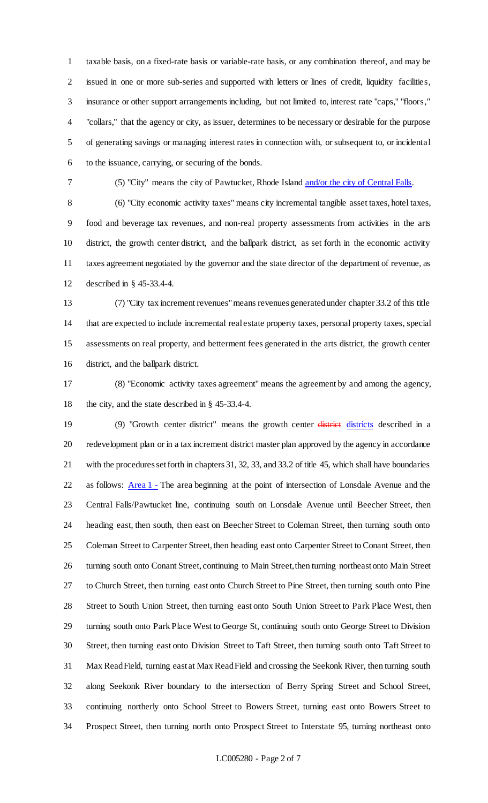taxable basis, on a fixed-rate basis or variable-rate basis, or any combination thereof, and may be issued in one or more sub-series and supported with letters or lines of credit, liquidity facilities, insurance or other support arrangements including, but not limited to, interest rate "caps," "floors," "collars," that the agency or city, as issuer, determines to be necessary or desirable for the purpose of generating savings or managing interest rates in connection with, or subsequent to, or incidental to the issuance, carrying, or securing of the bonds.

(5) "City" means the city of Pawtucket, Rhode Island and/or the city of Central Falls.

 (6) "City economic activity taxes" means city incremental tangible asset taxes, hotel taxes, food and beverage tax revenues, and non-real property assessments from activities in the arts district, the growth center district, and the ballpark district, as set forth in the economic activity taxes agreement negotiated by the governor and the state director of the department of revenue, as described in § 45-33.4-4.

 (7) "City tax increment revenues" means revenues generated under chapter 33.2 of this title that are expected to include incremental real estate property taxes, personal property taxes, special assessments on real property, and betterment fees generated in the arts district, the growth center district, and the ballpark district.

 (8) "Economic activity taxes agreement" means the agreement by and among the agency, the city, and the state described in § 45-33.4-4.

19 (9) "Growth center district" means the growth center districts districts described in a redevelopment plan or in a tax increment district master plan approved by the agency in accordance with the procedures set forth in chapters 31, 32, 33, and 33.2 of title 45, which shall have boundaries 22 as follows: Area 1 - The area beginning at the point of intersection of Lonsdale Avenue and the Central Falls/Pawtucket line, continuing south on Lonsdale Avenue until Beecher Street, then heading east, then south, then east on Beecher Street to Coleman Street, then turning south onto 25 Coleman Street to Carpenter Street, then heading east onto Carpenter Street to Conant Street, then turning south onto Conant Street, continuing to Main Street, then turning northeast onto Main Street to Church Street, then turning east onto Church Street to Pine Street, then turning south onto Pine Street to South Union Street, then turning east onto South Union Street to Park Place West, then 29 turning south onto Park Place West to George St, continuing south onto George Street to Division Street, then turning east onto Division Street to Taft Street, then turning south onto Taft Street to Max Read Field, turning east at Max Read Field and crossing the Seekonk River, then turning south along Seekonk River boundary to the intersection of Berry Spring Street and School Street, continuing northerly onto School Street to Bowers Street, turning east onto Bowers Street to Prospect Street, then turning north onto Prospect Street to Interstate 95, turning northeast onto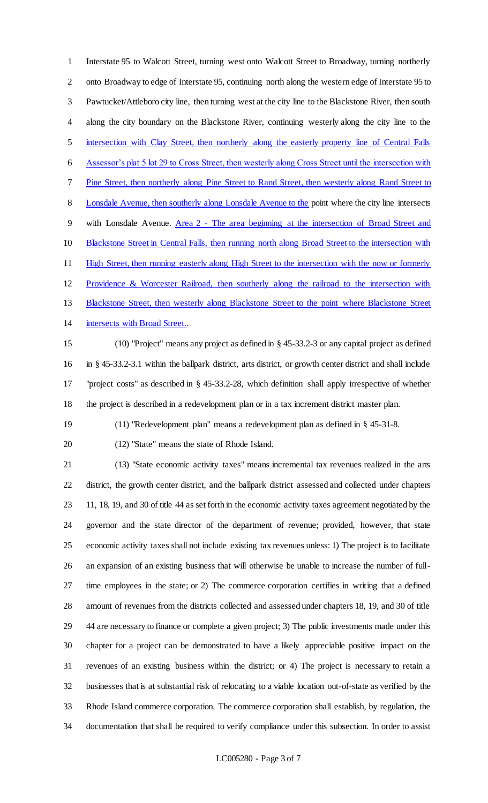Interstate 95 to Walcott Street, turning west onto Walcott Street to Broadway, turning northerly onto Broadway to edge of Interstate 95, continuing north along the western edge of Interstate 95 to Pawtucket/Attleboro city line, then turning west at the city line to the Blackstone River, then south along the city boundary on the Blackstone River, continuing westerly along the city line to the intersection with Clay Street, then northerly along the easterly property line of Central Falls Assessor's plat 5 lot 29 to Cross Street, then westerly along Cross Street until the intersection with Pine Street, then northerly along Pine Street to Rand Street, then westerly along Rand Street to 8 Lonsdale Avenue, then southerly along Lonsdale Avenue to the point where the city line intersects with Lonsdale Avenue. Area 2 - The area beginning at the intersection of Broad Street and 10 Blackstone Street in Central Falls, then running north along Broad Street to the intersection with High Street, then running easterly along High Street to the intersection with the now or formerly Providence & Worcester Railroad, then southerly along the railroad to the intersection with Blackstone Street, then westerly along Blackstone Street to the point where Blackstone Street intersects with Broad Street..

 (10) "Project" means any project as defined in § 45-33.2-3 or any capital project as defined in § 45-33.2-3.1 within the ballpark district, arts district, or growth center district and shall include "project costs" as described in § 45-33.2-28, which definition shall apply irrespective of whether the project is described in a redevelopment plan or in a tax increment district master plan.

(11) "Redevelopment plan" means a redevelopment plan as defined in § 45-31-8.

(12) "State" means the state of Rhode Island.

 (13) "State economic activity taxes" means incremental tax revenues realized in the arts district, the growth center district, and the ballpark district assessed and collected under chapters 11, 18, 19, and 30 of title 44 as set forth in the economic activity taxes agreement negotiated by the governor and the state director of the department of revenue; provided, however, that state economic activity taxes shall not include existing tax revenues unless: 1) The project is to facilitate an expansion of an existing business that will otherwise be unable to increase the number of full- time employees in the state; or 2) The commerce corporation certifies in writing that a defined amount of revenues from the districts collected and assessed under chapters 18, 19, and 30 of title 44 are necessary to finance or complete a given project; 3) The public investments made under this chapter for a project can be demonstrated to have a likely appreciable positive impact on the revenues of an existing business within the district; or 4) The project is necessary to retain a businesses that is at substantial risk of relocating to a viable location out-of-state as verified by the Rhode Island commerce corporation. The commerce corporation shall establish, by regulation, the documentation that shall be required to verify compliance under this subsection. In order to assist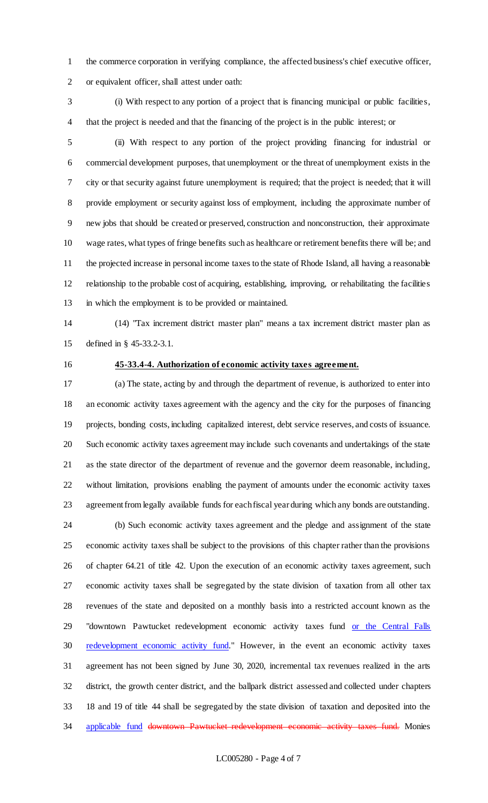the commerce corporation in verifying compliance, the affected business's chief executive officer, or equivalent officer, shall attest under oath:

 (i) With respect to any portion of a project that is financing municipal or public facilities, that the project is needed and that the financing of the project is in the public interest; or

 (ii) With respect to any portion of the project providing financing for industrial or commercial development purposes, that unemployment or the threat of unemployment exists in the city or that security against future unemployment is required; that the project is needed; that it will provide employment or security against loss of employment, including the approximate number of new jobs that should be created or preserved, construction and nonconstruction, their approximate wage rates, what types of fringe benefits such as healthcare or retirement benefits there will be; and the projected increase in personal income taxes to the state of Rhode Island, all having a reasonable relationship to the probable cost of acquiring, establishing, improving, or rehabilitating the facilities in which the employment is to be provided or maintained.

 (14) "Tax increment district master plan" means a tax increment district master plan as defined in § 45-33.2-3.1.

## **45-33.4-4. Authorization of economic activity taxes agreement.**

 (a) The state, acting by and through the department of revenue, is authorized to enter into an economic activity taxes agreement with the agency and the city for the purposes of financing projects, bonding costs, including capitalized interest, debt service reserves, and costs of issuance. Such economic activity taxes agreement may include such covenants and undertakings of the state as the state director of the department of revenue and the governor deem reasonable, including, without limitation, provisions enabling the payment of amounts under the economic activity taxes agreement from legally available funds for each fiscal year during which any bonds are outstanding.

 (b) Such economic activity taxes agreement and the pledge and assignment of the state economic activity taxes shall be subject to the provisions of this chapter rather than the provisions of chapter 64.21 of title 42. Upon the execution of an economic activity taxes agreement, such economic activity taxes shall be segregated by the state division of taxation from all other tax revenues of the state and deposited on a monthly basis into a restricted account known as the "downtown Pawtucket redevelopment economic activity taxes fund or the Central Falls 30 redevelopment economic activity fund." However, in the event an economic activity taxes agreement has not been signed by June 30, 2020, incremental tax revenues realized in the arts district, the growth center district, and the ballpark district assessed and collected under chapters 18 and 19 of title 44 shall be segregated by the state division of taxation and deposited into the 34 applicable fund downtown Pawtucket redevelopment economic activity taxes fund. Monies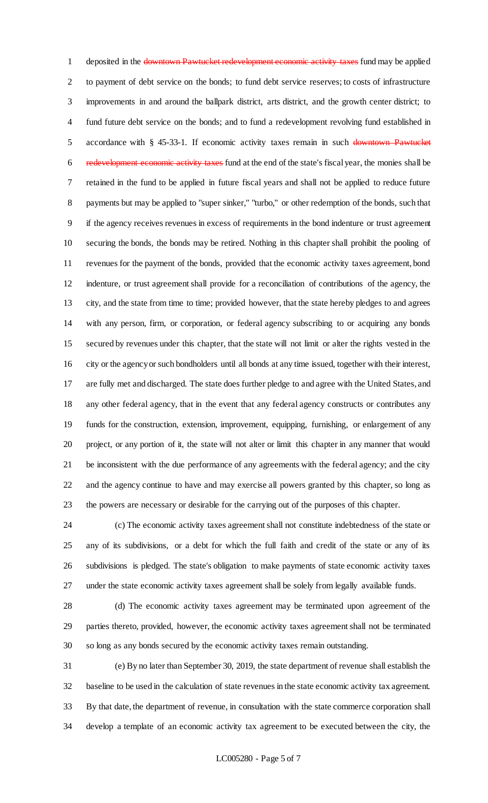1 deposited in the downtown Pawtucket redevelopment economic activity taxes fund may be applied to payment of debt service on the bonds; to fund debt service reserves; to costs of infrastructure improvements in and around the ballpark district, arts district, and the growth center district; to fund future debt service on the bonds; and to fund a redevelopment revolving fund established in 5 accordance with § 45-33-1. If economic activity taxes remain in such downtown Pawtucket redevelopment economic activity taxes fund at the end of the state's fiscal year, the monies shall be retained in the fund to be applied in future fiscal years and shall not be applied to reduce future 8 payments but may be applied to "super sinker," "turbo," or other redemption of the bonds, such that if the agency receives revenues in excess of requirements in the bond indenture or trust agreement securing the bonds, the bonds may be retired. Nothing in this chapter shall prohibit the pooling of revenues for the payment of the bonds, provided that the economic activity taxes agreement, bond indenture, or trust agreement shall provide for a reconciliation of contributions of the agency, the city, and the state from time to time; provided however, that the state hereby pledges to and agrees with any person, firm, or corporation, or federal agency subscribing to or acquiring any bonds secured by revenues under this chapter, that the state will not limit or alter the rights vested in the city or the agency or such bondholders until all bonds at any time issued, together with their interest, are fully met and discharged. The state does further pledge to and agree with the United States, and any other federal agency, that in the event that any federal agency constructs or contributes any funds for the construction, extension, improvement, equipping, furnishing, or enlargement of any project, or any portion of it, the state will not alter or limit this chapter in any manner that would be inconsistent with the due performance of any agreements with the federal agency; and the city and the agency continue to have and may exercise all powers granted by this chapter, so long as the powers are necessary or desirable for the carrying out of the purposes of this chapter.

 (c) The economic activity taxes agreement shall not constitute indebtedness of the state or any of its subdivisions, or a debt for which the full faith and credit of the state or any of its subdivisions is pledged. The state's obligation to make payments of state economic activity taxes under the state economic activity taxes agreement shall be solely from legally available funds.

 (d) The economic activity taxes agreement may be terminated upon agreement of the parties thereto, provided, however, the economic activity taxes agreement shall not be terminated so long as any bonds secured by the economic activity taxes remain outstanding.

 (e) By no later than September 30, 2019, the state department of revenue shall establish the baseline to be used in the calculation of state revenues in the state economic activity tax agreement. By that date, the department of revenue, in consultation with the state commerce corporation shall develop a template of an economic activity tax agreement to be executed between the city, the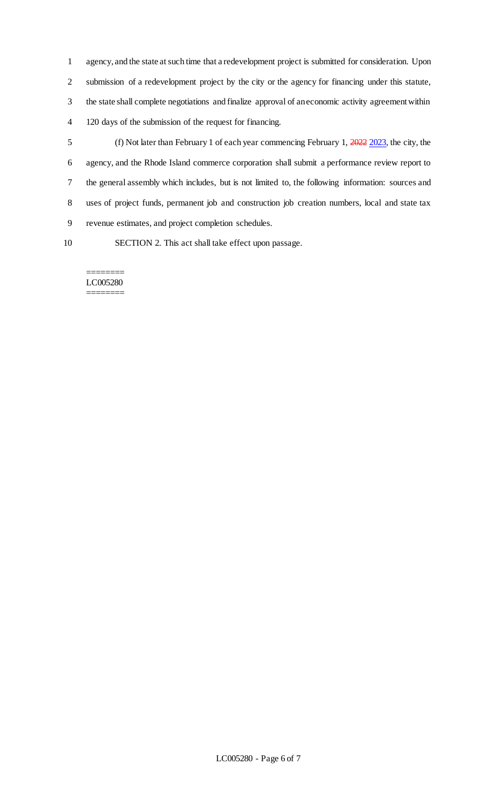agency, and the state at such time that a redevelopment project is submitted for consideration. Upon submission of a redevelopment project by the city or the agency for financing under this statute, the state shall complete negotiations and finalize approval of an economic activity agreement within 120 days of the submission of the request for financing.

 (f) Not later than February 1 of each year commencing February 1, 2022 2023, the city, the agency, and the Rhode Island commerce corporation shall submit a performance review report to the general assembly which includes, but is not limited to, the following information: sources and uses of project funds, permanent job and construction job creation numbers, local and state tax revenue estimates, and project completion schedules.

SECTION 2. This act shall take effect upon passage.

#### ======== LC005280 ========